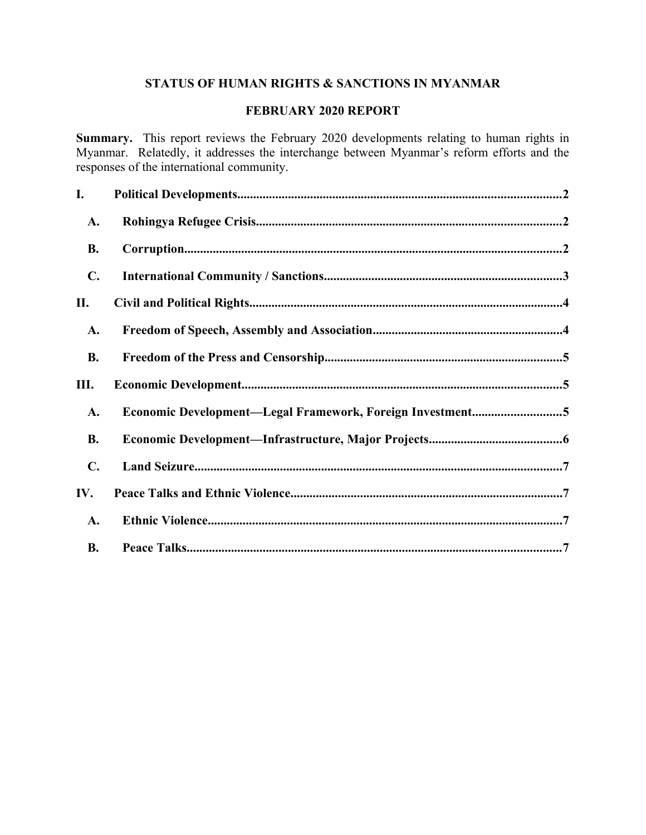# **STATUS OF HUMAN RIGHTS & SANCTIONS IN MYANMAR**

# **FEBRUARY 2020 REPORT**

**Summary.** This report reviews the February 2020 developments relating to human rights in Myanmar. Relatedly, it addresses the interchange between Myanmar's reform efforts and the responses of the international community.

| I.             |                                                           |
|----------------|-----------------------------------------------------------|
| A.             |                                                           |
| <b>B.</b>      |                                                           |
| $\mathbf{C}$ . |                                                           |
| П.             |                                                           |
| A.             |                                                           |
| <b>B.</b>      |                                                           |
| Ш.             |                                                           |
| A.             | Economic Development-Legal Framework, Foreign Investment5 |
| <b>B.</b>      |                                                           |
| $\mathbf{C}$ . |                                                           |
| IV.            |                                                           |
| A.             |                                                           |
| <b>B.</b>      |                                                           |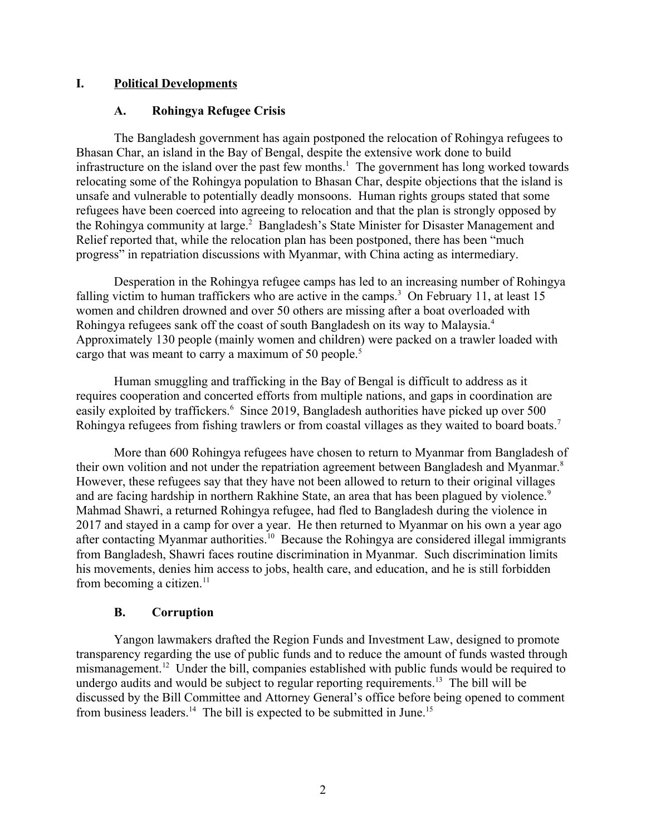### **I. Political Developments**

#### <span id="page-1-2"></span><span id="page-1-1"></span>**A. Rohingya Refugee Crisis**

The Bangladesh government has again postponed the relocation of Rohingya refugees to Bhasan Char, an island in the Bay of Bengal, despite the extensive work done to build infrastructure on the island over the past few months.<sup>1</sup> The government has long worked towards relocating some of the Rohingya population to Bhasan Char, despite objections that the island is unsafe and vulnerable to potentially deadly monsoons. Human rights groups stated that some refugees have been coerced into agreeing to relocation and that the plan is strongly opposed by the Rohingya community at large.<sup>2</sup> Bangladesh's State Minister for Disaster Management and Relief reported that, while the relocation plan has been postponed, there has been "much progress" in repatriation discussions with Myanmar, with China acting as intermediary.

Desperation in the Rohingya refugee camps has led to an increasing number of Rohingya falling victim to human traffickers who are active in the camps.<sup>3</sup> On February 11, at least 15 women and children drowned and over 50 others are missing after a boat overloaded with Rohingya refugees sank off the coast of south Bangladesh on its way to Malaysia.<sup>4</sup> Approximately 130 people (mainly women and children) were packed on a trawler loaded with cargo that was meant to carry a maximum of 50 people.<sup>5</sup>

Human smuggling and trafficking in the Bay of Bengal is difficult to address as it requires cooperation and concerted efforts from multiple nations, and gaps in coordination are easily exploited by traffickers.<sup>6</sup> Since 2019, Bangladesh authorities have picked up over 500 Rohingya refugees from fishing trawlers or from coastal villages as they waited to board boats.<sup>7</sup>

More than 600 Rohingya refugees have chosen to return to Myanmar from Bangladesh of their own volition and not under the repatriation agreement between Bangladesh and Myanmar.<sup>8</sup> However, these refugees say that they have not been allowed to return to their original villages and are facing hardship in northern Rakhine State, an area that has been plagued by violence.<sup>9</sup> Mahmad Shawri, a returned Rohingya refugee, had fled to Bangladesh during the violence in 2017 and stayed in a camp for over a year. He then returned to Myanmar on his own a year ago after contacting Myanmar authorities.<sup>10</sup> Because the Rohingya are considered illegal immigrants from Bangladesh, Shawri faces routine discrimination in Myanmar. Such discrimination limits his movements, denies him access to jobs, health care, and education, and he is still forbidden from becoming a citizen.<sup>11</sup>

# <span id="page-1-0"></span>**B. Corruption**

Yangon lawmakers drafted the Region Funds and Investment Law, designed to promote transparency regarding the use of public funds and to reduce the amount of funds wasted through mismanagement.<sup>12</sup> Under the bill, companies established with public funds would be required to undergo audits and would be subject to regular reporting requirements.<sup>13</sup> The bill will be discussed by the Bill Committee and Attorney General's office before being opened to comment from business leaders.<sup>14</sup> The bill is expected to be submitted in June.<sup>15</sup>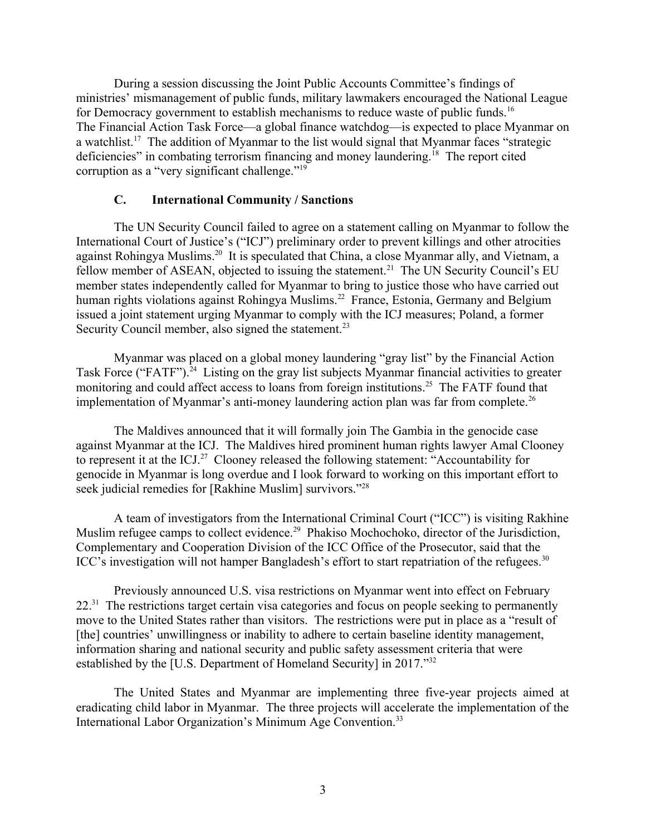During a session discussing the Joint Public Accounts Committee's findings of ministries' mismanagement of public funds, military lawmakers encouraged the National League for Democracy government to establish mechanisms to reduce waste of public funds.<sup>16</sup> The Financial Action Task Force—a global finance watchdog—is expected to place Myanmar on a watchlist.<sup>17</sup> The addition of Myanmar to the list would signal that Myanmar faces "strategic deficiencies" in combating terrorism financing and money laundering.<sup>18</sup> The report cited corruption as a "very significant challenge."<sup>19</sup>

#### <span id="page-2-0"></span>**C. International Community / Sanctions**

The UN Security Council failed to agree on a statement calling on Myanmar to follow the International Court of Justice's ("ICJ") preliminary order to prevent killings and other atrocities against Rohingya Muslims.<sup>20</sup> It is speculated that China, a close Myanmar ally, and Vietnam, a fellow member of ASEAN, objected to issuing the statement.<sup>21</sup> The UN Security Council's EU member states independently called for Myanmar to bring to justice those who have carried out human rights violations against Rohingya Muslims.<sup>22</sup> France, Estonia, Germany and Belgium issued a joint statement urging Myanmar to comply with the ICJ measures; Poland, a former Security Council member, also signed the statement.<sup>23</sup>

Myanmar was placed on a global money laundering "gray list" by the Financial Action Task Force ("FATF").<sup>24</sup> Listing on the gray list subjects Myanmar financial activities to greater monitoring and could affect access to loans from foreign institutions.<sup>25</sup> The FATF found that implementation of Myanmar's anti-money laundering action plan was far from complete.<sup>26</sup>

The Maldives announced that it will formally join The Gambia in the genocide case against Myanmar at the ICJ. The Maldives hired prominent human rights lawyer Amal Clooney to represent it at the ICJ.<sup>27</sup> Clooney released the following statement: "Accountability for genocide in Myanmar is long overdue and I look forward to working on this important effort to seek judicial remedies for [Rakhine Muslim] survivors."<sup>28</sup>

A team of investigators from the International Criminal Court ("ICC") is visiting Rakhine Muslim refugee camps to collect evidence.<sup>29</sup> Phakiso Mochochoko, director of the Jurisdiction, Complementary and Cooperation Division of the ICC Office of the Prosecutor, said that the ICC's investigation will not hamper Bangladesh's effort to start repatriation of the refugees.<sup>30</sup>

Previously announced U.S. visa restrictions on Myanmar went into effect on February 22.<sup>31</sup> The restrictions target certain visa categories and focus on people seeking to permanently move to the United States rather than visitors. The restrictions were put in place as a "result of [the] countries' unwillingness or inability to adhere to certain baseline identity management, information sharing and national security and public safety assessment criteria that were established by the [U.S. Department of Homeland Security] in 2017."<sup>32</sup>

The United States and Myanmar are implementing three five-year projects aimed at eradicating child labor in Myanmar. The three projects will accelerate the implementation of the International Labor Organization's Minimum Age Convention.<sup>33</sup>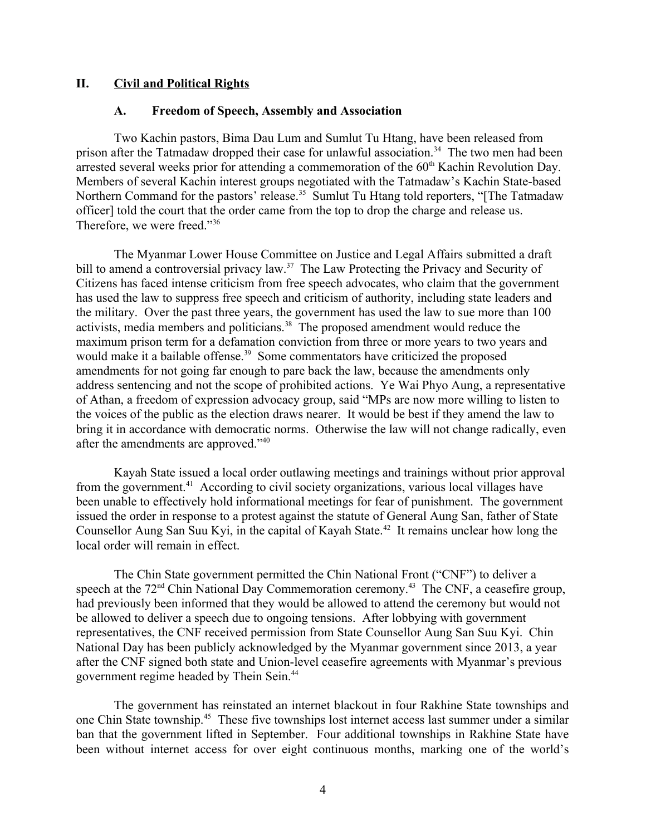#### **II. Civil and Political Rights**

#### <span id="page-3-1"></span><span id="page-3-0"></span>**A. Freedom of Speech, Assembly and Association**

Two Kachin pastors, Bima Dau Lum and Sumlut Tu Htang, have been released from prison after the Tatmadaw dropped their case for unlawful association.<sup>34</sup> The two men had been arrested several weeks prior for attending a commemoration of the 60<sup>th</sup> Kachin Revolution Day. Members of several Kachin interest groups negotiated with the Tatmadaw's Kachin State-based Northern Command for the pastors' release.<sup>35</sup> Sumlut Tu Htang told reporters, "[The Tatmadaw officer] told the court that the order came from the top to drop the charge and release us. Therefore, we were freed."<sup>36</sup>

The Myanmar Lower House Committee on Justice and Legal Affairs submitted a draft bill to amend a controversial privacy law.<sup>37</sup> The Law Protecting the Privacy and Security of Citizens has faced intense criticism from free speech advocates, who claim that the government has used the law to suppress free speech and criticism of authority, including state leaders and the military. Over the past three years, the government has used the law to sue more than 100 activists, media members and politicians.<sup>38</sup> The proposed amendment would reduce the maximum prison term for a defamation conviction from three or more years to two years and would make it a bailable offense.<sup>39</sup> Some commentators have criticized the proposed amendments for not going far enough to pare back the law, because the amendments only address sentencing and not the scope of prohibited actions. Ye Wai Phyo Aung, a representative of Athan, a freedom of expression advocacy group, said "MPs are now more willing to listen to the voices of the public as the election draws nearer. It would be best if they amend the law to bring it in accordance with democratic norms. Otherwise the law will not change radically, even after the amendments are approved."<sup>40</sup>

Kayah State issued a local order outlawing meetings and trainings without prior approval from the government.<sup>41</sup> According to civil society organizations, various local villages have been unable to effectively hold informational meetings for fear of punishment. The government issued the order in response to a protest against the statute of General Aung San, father of State Counsellor Aung San Suu Kyi, in the capital of Kayah State.<sup>42</sup> It remains unclear how long the local order will remain in effect.

The Chin State government permitted the Chin National Front ("CNF") to deliver a speech at the 72<sup>nd</sup> Chin National Day Commemoration ceremony.<sup>43</sup> The CNF, a ceasefire group, had previously been informed that they would be allowed to attend the ceremony but would not be allowed to deliver a speech due to ongoing tensions. After lobbying with government representatives, the CNF received permission from State Counsellor Aung San Suu Kyi. Chin National Day has been publicly acknowledged by the Myanmar government since 2013, a year after the CNF signed both state and Union-level ceasefire agreements with Myanmar's previous government regime headed by Thein Sein.<sup>44</sup>

The government has reinstated an internet blackout in four Rakhine State townships and one Chin State township.<sup>45</sup> These five townships lost internet access last summer under a similar ban that the government lifted in September. Four additional townships in Rakhine State have been without internet access for over eight continuous months, marking one of the world's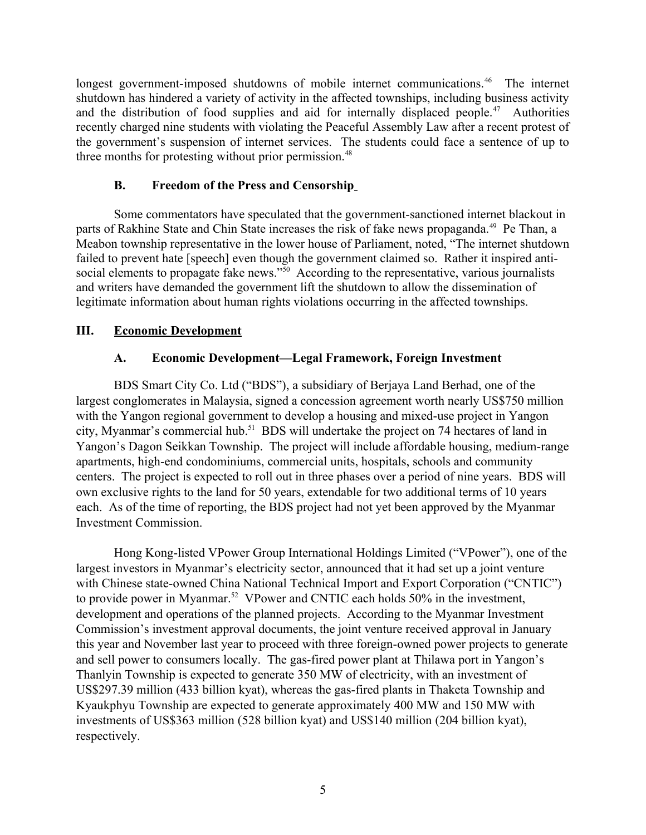longest government-imposed shutdowns of mobile internet communications.<sup>46</sup> The internet shutdown has hindered a variety of activity in the affected townships, including business activity and the distribution of food supplies and aid for internally displaced people.<sup>47</sup> Authorities recently charged nine students with violating the Peaceful Assembly Law after a recent protest of the government's suspension of internet services. The students could face a sentence of up to three months for protesting without prior permission.<sup>48</sup>

# <span id="page-4-2"></span>**B. Freedom of the Press and Censorship**

Some commentators have speculated that the government-sanctioned internet blackout in parts of Rakhine State and Chin State increases the risk of fake news propaganda.<sup>49</sup> Pe Than, a Meabon township representative in the lower house of Parliament, noted, "The internet shutdown failed to prevent hate [speech] even though the government claimed so. Rather it inspired antisocial elements to propagate fake news."<sup>50</sup> According to the representative, various journalists and writers have demanded the government lift the shutdown to allow the dissemination of legitimate information about human rights violations occurring in the affected townships.

# **III. Economic Development**

# <span id="page-4-1"></span><span id="page-4-0"></span>**A. Economic Development—Legal Framework, Foreign Investment**

BDS Smart City Co. Ltd ("BDS"), a subsidiary of Berjaya Land Berhad, one of the largest conglomerates in Malaysia, signed a concession agreement worth nearly US\$750 million with the Yangon regional government to develop a housing and mixed-use project in Yangon city. Myanmar's commercial hub.<sup>51</sup> BDS will undertake the project on 74 hectares of land in Yangon's Dagon Seikkan Township. The project will include affordable housing, medium-range apartments, high-end condominiums, commercial units, hospitals, schools and community centers. The project is expected to roll out in three phases over a period of nine years. BDS will own exclusive rights to the land for 50 years, extendable for two additional terms of 10 years each. As of the time of reporting, the BDS project had not yet been approved by the Myanmar Investment Commission.

Hong Kong-listed VPower Group International Holdings Limited ("VPower"), one of the largest investors in Myanmar's electricity sector, announced that it had set up a joint venture with Chinese state-owned China National Technical Import and Export Corporation ("CNTIC") to provide power in Myanmar.<sup>52</sup> VPower and CNTIC each holds 50% in the investment, development and operations of the planned projects. According to the Myanmar Investment Commission's investment approval documents, the joint venture received approval in January this year and November last year to proceed with three foreign-owned power projects to generate and sell power to consumers locally. The gas-fired power plant at Thilawa port in Yangon's Thanlyin Township is expected to generate 350 MW of electricity, with an investment of US\$297.39 million (433 billion kyat), whereas the gas-fired plants in Thaketa Township and Kyaukphyu Township are expected to generate approximately 400 MW and 150 MW with investments of US\$363 million (528 billion kyat) and US\$140 million (204 billion kyat), respectively.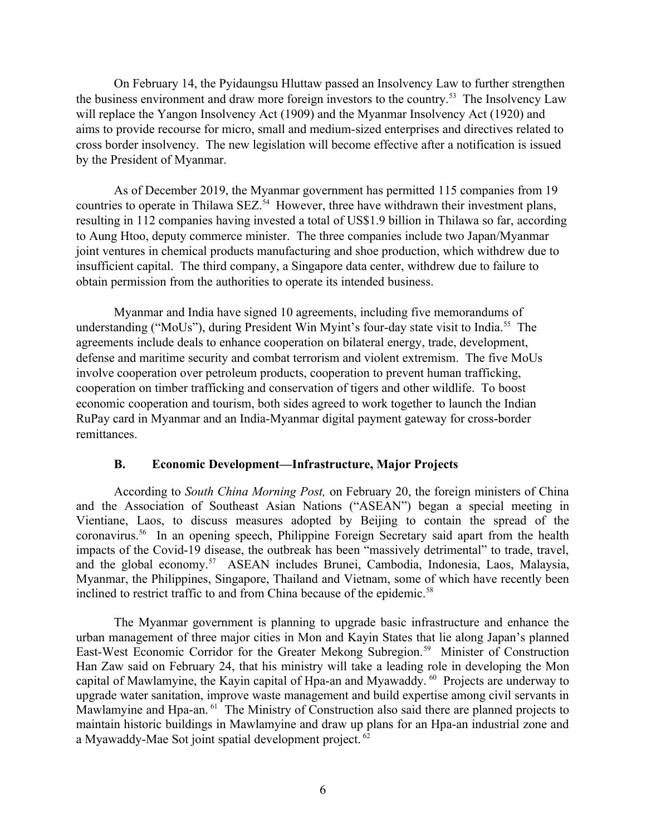On February 14, the Pyidaungsu Hluttaw passed an Insolvency Law to further strengthen the business environment and draw more foreign investors to the country.<sup>53</sup> The Insolvency Law will replace the Yangon Insolvency Act (1909) and the Myanmar Insolvency Act (1920) and aims to provide recourse for micro, small and medium-sized enterprises and directives related to cross border insolvency. The new legislation will become effective after a notification is issued by the President of Myanmar.

As of December 2019, the Myanmar government has permitted 115 companies from 19 countries to operate in Thilawa SEZ.<sup>54</sup> However, three have withdrawn their investment plans, resulting in 112 companies having invested a total of US\$1.9 billion in Thilawa so far, according to Aung Htoo, deputy commerce minister. The three companies include two Japan/Myanmar joint ventures in chemical products manufacturing and shoe production, which withdrew due to insufficient capital. The third company, a Singapore data center, withdrew due to failure to obtain permission from the authorities to operate its intended business.

Myanmar and India have signed 10 agreements, including five memorandums of understanding ("MoUs"), during President Win Myint's four-day state visit to India.<sup>55</sup> The agreements include deals to enhance cooperation on bilateral energy, trade, development, defense and maritime security and combat terrorism and violent extremism. The five MoUs involve cooperation over petroleum products, cooperation to prevent human trafficking, cooperation on timber trafficking and conservation of tigers and other wildlife. To boost economic cooperation and tourism, both sides agreed to work together to launch the Indian RuPay card in Myanmar and an India-Myanmar digital payment gateway for cross-border remittances.

# <span id="page-5-0"></span>**B. Economic Development—Infrastructure, Major Projects**

According to *South China Morning Post,* on February 20, the foreign ministers of China and the Association of Southeast Asian Nations ("ASEAN") began a special meeting in Vientiane, Laos, to discuss measures adopted by Beijing to contain the spread of the coronavirus.<sup>56</sup> In an opening speech, Philippine Foreign Secretary said apart from the health impacts of the Covid-19 disease, the outbreak has been "massively detrimental" to trade, travel, and the global economy.<sup>57</sup> ASEAN includes Brunei, Cambodia, Indonesia, Laos, Malaysia, Myanmar, the Philippines, Singapore, Thailand and Vietnam, some of which have recently been inclined to restrict traffic to and from China because of the epidemic.<sup>58</sup>

The Myanmar government is planning to upgrade basic infrastructure and enhance the urban management of three major cities in Mon and Kayin States that lie along Japan's planned East-West Economic Corridor for the Greater Mekong Subregion.<sup>59</sup> Minister of Construction Han Zaw said on February 24, that his ministry will take a leading role in developing the Mon capital of Mawlamyine, the Kayin capital of Hpa-an and Myawaddy. <sup>60</sup> Projects are underway to upgrade water sanitation, improve waste management and build expertise among civil servants in Mawlamyine and Hpa-an. <sup>61</sup> The Ministry of Construction also said there are planned projects to maintain historic buildings in Mawlamyine and draw up plans for an Hpa-an industrial zone and a Myawaddy-Mae Sot joint spatial development project.<sup>62</sup>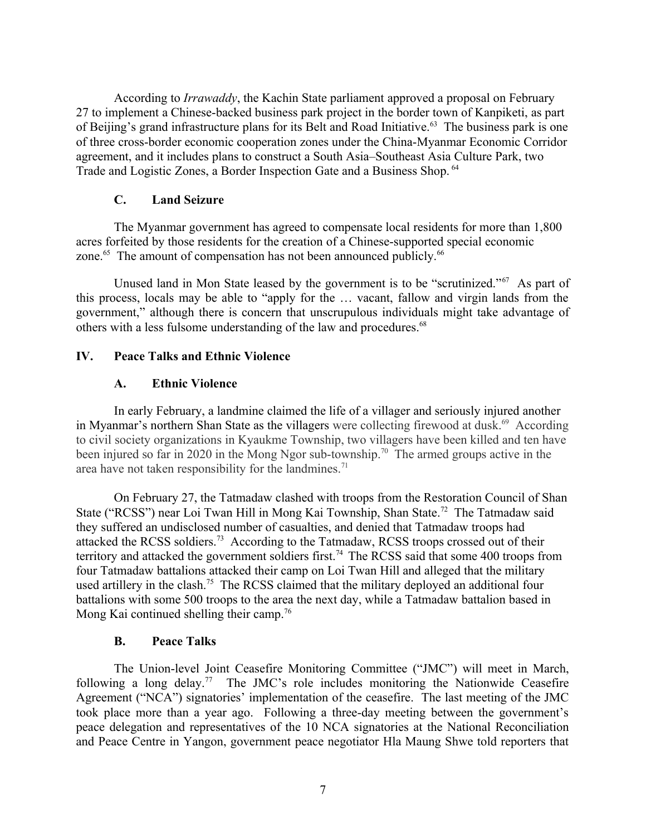According to *Irrawaddy*, the Kachin State parliament approved a proposal on February 27 to implement a Chinese-backed business park project in the border town of Kanpiketi, as part of Beijing's grand infrastructure plans for its Belt and Road Initiative.<sup>63</sup> The business park is one of three cross-border economic cooperation zones under the China-Myanmar Economic Corridor agreement, and it includes plans to construct a South Asia–Southeast Asia Culture Park, two Trade and Logistic Zones, a Border Inspection Gate and a Business Shop. <sup>64</sup>

### <span id="page-6-3"></span>**C. Land Seizure**

The Myanmar government has agreed to compensate local residents for more than 1,800 acres forfeited by those residents for the creation of a Chinese-supported special economic zone.<sup>65</sup> The amount of compensation has not been announced publicly.<sup>66</sup>

Unused land in Mon State leased by the government is to be "scrutinized."<sup>67</sup> As part of this process, locals may be able to "apply for the … vacant, fallow and virgin lands from the government," although there is concern that unscrupulous individuals might take advantage of others with a less fulsome understanding of the law and procedures.<sup>68</sup>

### **IV. Peace Talks and Ethnic Violence**

### <span id="page-6-2"></span><span id="page-6-1"></span>**A. Ethnic Violence**

In early February, a landmine claimed the life of a villager and seriously injured another in Myanmar's northern Shan State as the villagers were collecting firewood at dusk.<sup>69</sup> According to civil society organizations in Kyaukme Township, two villagers have been killed and ten have been injured so far in 2020 in the Mong Ngor sub-township.<sup>70</sup> The armed groups active in the area have not taken responsibility for the landmines.<sup>71</sup>

On February 27, the Tatmadaw clashed with troops from the Restoration Council of Shan State ("RCSS") near Loi Twan Hill in Mong Kai Township, Shan State.<sup>72</sup> The Tatmadaw said they suffered an undisclosed number of casualties, and denied that Tatmadaw troops had attacked the RCSS soldiers.<sup>73</sup> According to the Tatmadaw, RCSS troops crossed out of their territory and attacked the government soldiers first.<sup>74</sup> The RCSS said that some 400 troops from four Tatmadaw battalions attacked their camp on Loi Twan Hill and alleged that the military used artillery in the clash.<sup>75</sup> The RCSS claimed that the military deployed an additional four battalions with some 500 troops to the area the next day, while a Tatmadaw battalion based in Mong Kai continued shelling their camp.<sup>76</sup>

#### <span id="page-6-0"></span>**B. Peace Talks**

The Union-level Joint Ceasefire Monitoring Committee ("JMC") will meet in March, following a long delay.<sup>77</sup> The JMC's role includes monitoring the Nationwide Ceasefire Agreement ("NCA") signatories' implementation of the ceasefire. The last meeting of the JMC took place more than a year ago. Following a three-day meeting between the government's peace delegation and representatives of the 10 NCA signatories at the National Reconciliation and Peace Centre in Yangon, government peace negotiator Hla Maung Shwe told reporters that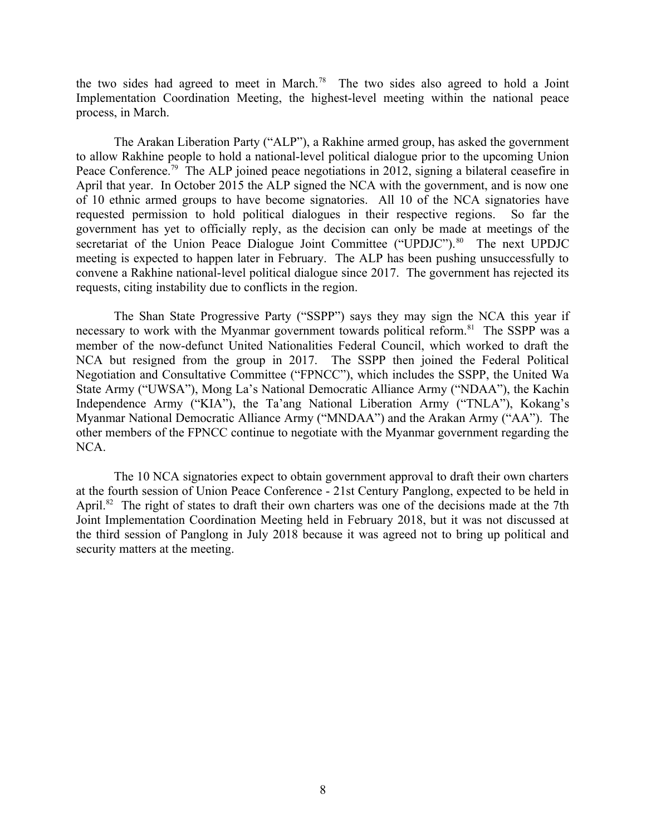the two sides had agreed to meet in March.<sup>78</sup> The two sides also agreed to hold a Joint Implementation Coordination Meeting, the highest-level meeting within the national peace process, in March.

The Arakan Liberation Party ("ALP"), a Rakhine armed group, has asked the government to allow Rakhine people to hold a national-level political dialogue prior to the upcoming Union Peace Conference.<sup>79</sup> The ALP joined peace negotiations in 2012, signing a bilateral ceasefire in April that year. In October 2015 the ALP signed the NCA with the government, and is now one of 10 ethnic armed groups to have become signatories. All 10 of the NCA signatories have requested permission to hold political dialogues in their respective regions. So far the government has yet to officially reply, as the decision can only be made at meetings of the secretariat of the Union Peace Dialogue Joint Committee ("UPDJC").<sup>80</sup> The next UPDJC meeting is expected to happen later in February. The ALP has been pushing unsuccessfully to convene a Rakhine national-level political dialogue since 2017. The government has rejected its requests, citing instability due to conflicts in the region.

The Shan State Progressive Party ("SSPP") says they may sign the NCA this year if necessary to work with the Myanmar government towards political reform.<sup>81</sup> The SSPP was a member of the now-defunct United Nationalities Federal Council, which worked to draft the NCA but resigned from the group in 2017. The SSPP then joined the Federal Political Negotiation and Consultative Committee ("FPNCC"), which includes the SSPP, the United Wa State Army ("UWSA"), Mong La's National Democratic Alliance Army ("NDAA"), the Kachin Independence Army ("KIA"), the Ta'ang National Liberation Army ("TNLA"), Kokang's Myanmar National Democratic Alliance Army ("MNDAA") and the Arakan Army ("AA"). The other members of the FPNCC continue to negotiate with the Myanmar government regarding the NCA.

The 10 NCA signatories expect to obtain government approval to draft their own charters at the fourth session of Union Peace Conference - 21st Century Panglong, expected to be held in April.<sup>82</sup> The right of states to draft their own charters was one of the decisions made at the 7th Joint Implementation Coordination Meeting held in February 2018, but it was not discussed at the third session of Panglong in July 2018 because it was agreed not to bring up political and security matters at the meeting.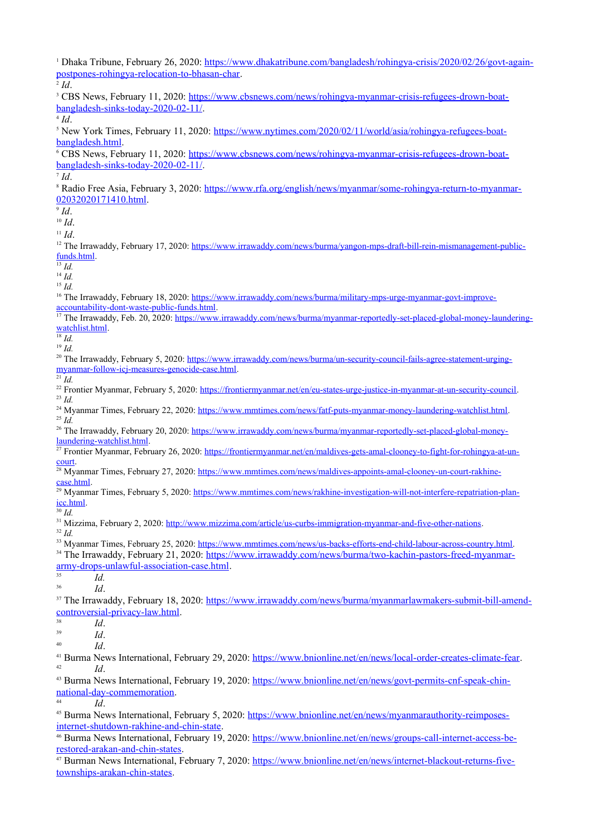<sup>1</sup> Dhaka Tribune, February 26, 2020: [https://www.dhakatribune.com/bangladesh/rohingya-crisis/2020/02/26/govt-again](https://www.dhakatribune.com/bangladesh/rohingya-crisis/2020/02/26/govt-again-postpones-rohingya-relocation-to-bhasan-char)[postpones-rohingya-relocation-to-bhasan-char.](https://www.dhakatribune.com/bangladesh/rohingya-crisis/2020/02/26/govt-again-postpones-rohingya-relocation-to-bhasan-char)

2 *Id*. <sup>3</sup> CBS News, February 11, 2020: [https://www.cbsnews.com/news/rohingya-myanmar-crisis-refugees-drown-boat](https://www.cbsnews.com/news/rohingya-myanmar-crisis-refugees-drown-boat-bangladesh-sinks-today-2020-02-11/)[bangladesh-sinks-today-2020-02-11/](https://www.cbsnews.com/news/rohingya-myanmar-crisis-refugees-drown-boat-bangladesh-sinks-today-2020-02-11/). 4 *Id*. <sup>5</sup> New York Times, February 11, 2020: [https://www.nytimes.com/2020/02/11/world/asia/rohingya-refugees-boat](https://www.nytimes.com/2020/02/11/world/asia/rohingya-refugees-boat-bangladesh.html)[bangladesh.html.](https://www.nytimes.com/2020/02/11/world/asia/rohingya-refugees-boat-bangladesh.html) <sup>6</sup> CBS News, February 11, 2020: [https://www.cbsnews.com/news/rohingya-myanmar-crisis-refugees-drown-boat](https://www.cbsnews.com/news/rohingya-myanmar-crisis-refugees-drown-boat-bangladesh-sinks-today-2020-02-11/)[bangladesh-sinks-today-2020-02-11/](https://www.cbsnews.com/news/rohingya-myanmar-crisis-refugees-drown-boat-bangladesh-sinks-today-2020-02-11/). 7 *Id*. <sup>8</sup> Radio Free Asia, February 3, 2020: [https://www.rfa.org/english/news/myanmar/some-rohingya-return-to-myanmar-](https://www.rfa.org/english/news/myanmar/some-rohingya-return-to-myanmar-02032020171410.html)[02032020171410.html.](https://www.rfa.org/english/news/myanmar/some-rohingya-return-to-myanmar-02032020171410.html) 9 *Id*. <sup>10</sup> *Id*. <sup>11</sup> *Id*. <sup>12</sup> The Irrawaddy, February 17, 2020: [https://www.irrawaddy.com/news/burma/yangon-mps-draft-bill-rein-mismanagement-public](https://www.irrawaddy.com/news/burma/yangon-mps-draft-bill-rein-mismanagement-public-funds.html)[funds.html.](https://www.irrawaddy.com/news/burma/yangon-mps-draft-bill-rein-mismanagement-public-funds.html)  $\overline{\frac{13}{13}}$ *Id.* <sup>14</sup> *Id.* <sup>15</sup> *Id.* <sup>16</sup> The Irrawaddy, February 18, 2020: [https://www.irrawaddy.com/news/burma/military-mps-urge-myanmar-govt-improve](https://www.irrawaddy.com/news/burma/military-mps-urge-myanmar-govt-improve-accountability-dont-waste-public-funds.html)[accountability-dont-waste-public-funds.html](https://www.irrawaddy.com/news/burma/military-mps-urge-myanmar-govt-improve-accountability-dont-waste-public-funds.html). <sup>17</sup> The Irrawaddy, Feb. 20, 2020: [https://www.irrawaddy.com/news/burma/myanmar-reportedly-set-placed-global-money-laundering](https://www.irrawaddy.com/news/burma/myanmar-reportedly-set-placed-global-money-laundering-watchlist.html)[watchlist.html](https://www.irrawaddy.com/news/burma/myanmar-reportedly-set-placed-global-money-laundering-watchlist.html).  $\overline{\phantom{18}^{18}$  *Id.* <sup>19</sup> *Id.* <sup>20</sup> The Irrawaddy, February 5, 2020: [https://www.irrawaddy.com/news/burma/un-security-council-fails-agree-statement-urging](https://www.irrawaddy.com/news/burma/un-security-council-fails-agree-statement-urging-myanmar-follow-icj-measures-genocide-case.html)[myanmar-follow-icj-measures-genocide-case.html](https://www.irrawaddy.com/news/burma/un-security-council-fails-agree-statement-urging-myanmar-follow-icj-measures-genocide-case.html).  $^{21}$  *Id.* <sup>22</sup> Frontier Myanmar, February 5, 2020: [https://frontiermyanmar.net/en/eu-states-urge-justice-in-myanmar-at-un-security-council.](https://frontiermyanmar.net/en/eu-states-urge-justice-in-myanmar-at-un-security-council) <sup>23</sup> *Id.* <sup>24</sup> Myanmar Times, February 22, 2020: [https://www.mmtimes.com/news/fatf-puts-myanmar-money-laundering-watchlist.html.](https://www.mmtimes.com/news/fatf-puts-myanmar-money-laundering-watchlist.html) <sup>25</sup> *Id.* <sup>26</sup> The Irrawaddy, February 20, 2020: [https://www.irrawaddy.com/news/burma/myanmar-reportedly-set-placed-global-money](https://www.irrawaddy.com/news/burma/myanmar-reportedly-set-placed-global-money-laundering-watchlist.html)[laundering-watchlist.html](https://www.irrawaddy.com/news/burma/myanmar-reportedly-set-placed-global-money-laundering-watchlist.html). <sup>27</sup> Frontier Myanmar, February 26, 2020: [https://frontiermyanmar.net/en/maldives-gets-amal-clooney-to-fight-for-rohingya-at-un](https://frontiermyanmar.net/en/maldives-gets-amal-clooney-to-fight-for-rohingya-at-un-court)[court](https://frontiermyanmar.net/en/maldives-gets-amal-clooney-to-fight-for-rohingya-at-un-court). <sup>28</sup> Myanmar Times, February 27, 2020: [https://www.mmtimes.com/news/maldives-appoints-amal-clooney-un-court-rakhine](https://www.mmtimes.com/news/maldives-appoints-amal-clooney-un-court-rakhine-case.html)[case.html](https://www.mmtimes.com/news/maldives-appoints-amal-clooney-un-court-rakhine-case.html). <sup>29</sup> Myanmar Times, February 5, 2020: [https://www.mmtimes.com/news/rakhine-investigation-will-not-interfere-repatriation-plan](https://www.mmtimes.com/news/rakhine-investigation-will-not-interfere-repatriation-plan-icc.html)[icc.html](https://www.mmtimes.com/news/rakhine-investigation-will-not-interfere-repatriation-plan-icc.html). <sup>30</sup> *Id.* <sup>31</sup> Mizzima, February 2, 2020:<http://www.mizzima.com/article/us-curbs-immigration-myanmar-and-five-other-nations>. <sup>32</sup> *Id.* <sup>33</sup> Myanmar Times, February 25, 2020: [https://www.mmtimes.com/news/us-backs-efforts-end-child-labour-across-country.html.](https://www.mmtimes.com/news/us-backs-efforts-end-child-labour-across-country.html) <sup>34</sup> The Irrawaddy, February 21, 2020: [https://www.irrawaddy.com/news/burma/two-kachin-pastors-freed-myanmar](https://www.irrawaddy.com/news/burma/two-kachin-pastors-freed-myanmar-army-drops-unlawful-association-case.html)[army-drops-unlawful-association-case.html](https://www.irrawaddy.com/news/burma/two-kachin-pastors-freed-myanmar-army-drops-unlawful-association-case.html).  $rac{35}{36}$  *Id.* <sup>36</sup> *Id*. <sup>37</sup> The Irrawaddy, February 18, 2020: [https://www.irrawaddy.com/news/burma/myanmarlawmakers-submit-bill-amend](https://www.irrawaddy.com/news/burma/myanmarlawmakers-submit-bill-amend-controversial-privacy-law.html)[controversial-privacy-law.html](https://www.irrawaddy.com/news/burma/myanmarlawmakers-submit-bill-amend-controversial-privacy-law.html).  $rac{38}{39}$  *Id.*  $\frac{39}{40}$  *Id. Id.* <sup>41</sup> Burma News International, February 29, 2020: [https://www.bnionline.net/en/news/local-order-creates-climate-fear.](https://www.bnionline.net/en/news/local-order-creates-climate-fear) <sup>42</sup> *Id*. 43 Burma News International, February 19, 2020: [https://www.bnionline.net/en/news/govt-permits-cnf-speak-chin](https://www.bnionline.net/en/news/govt-permits-cnf-speak-chin-national-day-commemoration)[national-day-commemoration.](https://www.bnionline.net/en/news/govt-permits-cnf-speak-chin-national-day-commemoration) <sup>44</sup> *Id*. <sup>45</sup> Burma News International, February 5, 2020: [https://www.bnionline.net/en/news/myanmarauthority-reimposes](https://www.bnionline.net/en/news/myanmarauthority-reimposes-internet-shutdown-rakhine-and-chin-state)[internet-shutdown-rakhine-and-chin-state.](https://www.bnionline.net/en/news/myanmarauthority-reimposes-internet-shutdown-rakhine-and-chin-state)

<sup>46</sup> Burma News International, February 19, 2020: [https://www.bnionline.net/en/news/groups-call-internet-access-be](https://www.bnionline.net/en/news/groups-call-internet-access-be-restored-arakan-and-chin-states)[restored-arakan-and-chin-states.](https://www.bnionline.net/en/news/groups-call-internet-access-be-restored-arakan-and-chin-states)

<sup>47</sup> Burman News International, February 7, 2020: [https://www.bnionline.net/en/news/internet-blackout-returns-five](https://www.bnionline.net/en/news/internet-blackout-returns-five-townships-arakan-chin-states)[townships-arakan-chin-states](https://www.bnionline.net/en/news/internet-blackout-returns-five-townships-arakan-chin-states).